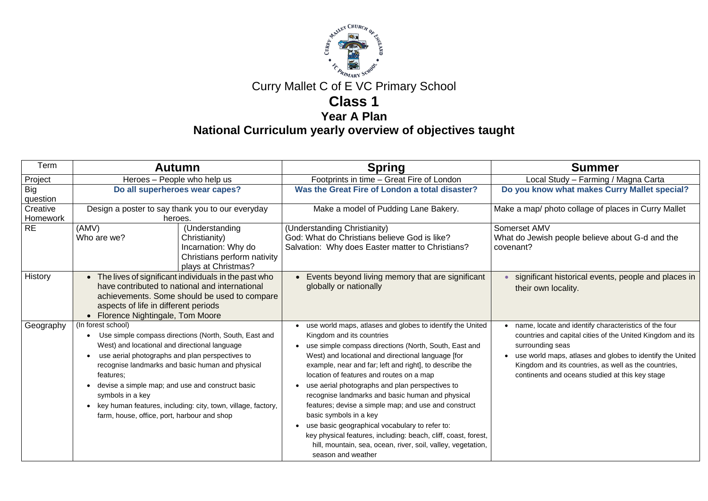

# Curry Mallet C of E VC Primary School

### **Class 1**

**Year A Plan**

**National Curriculum yearly overview of objectives taught**

| Term                   | <b>Autumn</b>                                                                                                                                                                                                                                                                                                                                                                                                                                        | <b>Spring</b>                                                                                                                                                                                                                                                                                                                                                                                                                                                                                                                                                                                                                                                                                                                | <b>Summer</b>                                                                                                                                                                                           |
|------------------------|------------------------------------------------------------------------------------------------------------------------------------------------------------------------------------------------------------------------------------------------------------------------------------------------------------------------------------------------------------------------------------------------------------------------------------------------------|------------------------------------------------------------------------------------------------------------------------------------------------------------------------------------------------------------------------------------------------------------------------------------------------------------------------------------------------------------------------------------------------------------------------------------------------------------------------------------------------------------------------------------------------------------------------------------------------------------------------------------------------------------------------------------------------------------------------------|---------------------------------------------------------------------------------------------------------------------------------------------------------------------------------------------------------|
| Project                | Heroes - People who help us                                                                                                                                                                                                                                                                                                                                                                                                                          | Footprints in time - Great Fire of London                                                                                                                                                                                                                                                                                                                                                                                                                                                                                                                                                                                                                                                                                    | Local Study - Farming / I                                                                                                                                                                               |
| <b>Big</b><br>question | Do all superheroes wear capes?                                                                                                                                                                                                                                                                                                                                                                                                                       | Was the Great Fire of London a total disaster?                                                                                                                                                                                                                                                                                                                                                                                                                                                                                                                                                                                                                                                                               | Do you know what makes Cur                                                                                                                                                                              |
| Creative<br>Homework   | Design a poster to say thank you to our everyday<br>heroes.                                                                                                                                                                                                                                                                                                                                                                                          | Make a model of Pudding Lane Bakery.                                                                                                                                                                                                                                                                                                                                                                                                                                                                                                                                                                                                                                                                                         | Make a map/ photo collage of plad                                                                                                                                                                       |
| <b>RE</b>              | (AMV)<br>(Understanding<br>Who are we?<br>Christianity)<br>Incarnation: Why do<br>Christians perform nativity<br>plays at Christmas?                                                                                                                                                                                                                                                                                                                 | (Understanding Christianity)<br>God: What do Christians believe God is like?<br>Salvation: Why does Easter matter to Christians?                                                                                                                                                                                                                                                                                                                                                                                                                                                                                                                                                                                             | <b>Somerset AMV</b><br>What do Jewish people believe at<br>covenant?                                                                                                                                    |
| <b>History</b>         | The lives of significant individuals in the past who<br>$\bullet$<br>have contributed to national and international<br>achievements. Some should be used to compare<br>aspects of life in different periods<br>• Florence Nightingale, Tom Moore                                                                                                                                                                                                     | Events beyond living memory that are significant<br>globally or nationally                                                                                                                                                                                                                                                                                                                                                                                                                                                                                                                                                                                                                                                   | significant historical events,<br>their own locality.                                                                                                                                                   |
| Geography              | (In forest school)<br>Use simple compass directions (North, South, East and<br>West) and locational and directional language<br>use aerial photographs and plan perspectives to<br>$\bullet$<br>recognise landmarks and basic human and physical<br>features;<br>devise a simple map; and use and construct basic<br>symbols in a key<br>key human features, including: city, town, village, factory,<br>farm, house, office, port, harbour and shop | use world maps, atlases and globes to identify the United<br>Kingdom and its countries<br>use simple compass directions (North, South, East and<br>West) and locational and directional language [for<br>example, near and far; left and right], to describe the<br>location of features and routes on a map<br>use aerial photographs and plan perspectives to<br>recognise landmarks and basic human and physical<br>features; devise a simple map; and use and construct<br>basic symbols in a key<br>use basic geographical vocabulary to refer to:<br>$\bullet$<br>key physical features, including: beach, cliff, coast, forest,<br>hill, mountain, sea, ocean, river, soil, valley, vegetation,<br>season and weather | name, locate and identify charac<br>countries and capital cities of the<br>surrounding seas<br>use world maps, atlases and glol<br>Kingdom and its countries, as we<br>continents and oceans studied at |

Propiect Heroes Carta in time designed Study – Farming / Magna Carta **know what makes Curry Mallet special?** 

ap/ photo collage of places in Curry Mallet

ewish people believe about G-d and the

ficant historical events, people and places in own locality.

, locate and identify characteristics of the four ries and capital cities of the United Kingdom and its unding seas

vorld maps, atlases and globes to identify the United lom and its countries, as well as the countries,

nents and oceans studied at this key stage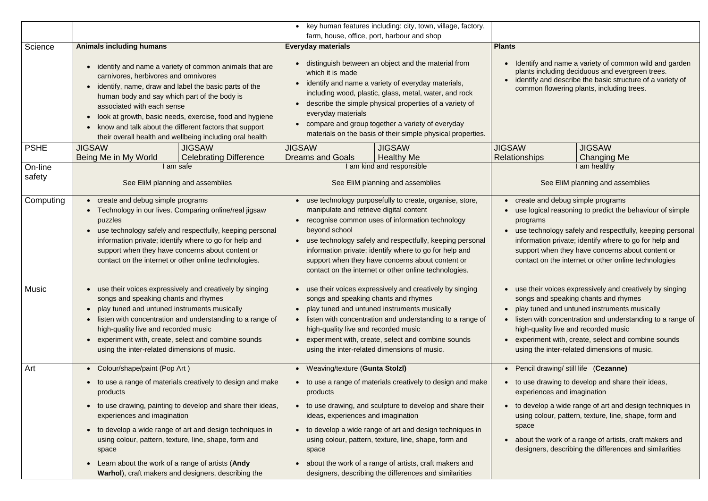|             |                                                                                                                                                                                                                                                                                                                                                                                                                                                                                                  | key human features including: city, town, village, factory,<br>$\bullet$                                                                                                                                                                                                                                                                                                                                                              |                                                                                                                                                                                                                                                                                                                                                                         |
|-------------|--------------------------------------------------------------------------------------------------------------------------------------------------------------------------------------------------------------------------------------------------------------------------------------------------------------------------------------------------------------------------------------------------------------------------------------------------------------------------------------------------|---------------------------------------------------------------------------------------------------------------------------------------------------------------------------------------------------------------------------------------------------------------------------------------------------------------------------------------------------------------------------------------------------------------------------------------|-------------------------------------------------------------------------------------------------------------------------------------------------------------------------------------------------------------------------------------------------------------------------------------------------------------------------------------------------------------------------|
|             |                                                                                                                                                                                                                                                                                                                                                                                                                                                                                                  | farm, house, office, port, harbour and shop                                                                                                                                                                                                                                                                                                                                                                                           | <b>Plants</b>                                                                                                                                                                                                                                                                                                                                                           |
| Science     | <b>Animals including humans</b><br>identify and name a variety of common animals that are<br>carnivores, herbivores and omnivores<br>identify, name, draw and label the basic parts of the<br>$\bullet$<br>human body and say which part of the body is<br>associated with each sense<br>look at growth, basic needs, exercise, food and hygiene<br>$\bullet$<br>know and talk about the different factors that support<br>$\bullet$<br>their overall health and wellbeing including oral health | <b>Everyday materials</b><br>distinguish between an object and the material from<br>which it is made<br>identify and name a variety of everyday materials,<br>$\bullet$<br>including wood, plastic, glass, metal, water, and rock<br>describe the simple physical properties of a variety of<br>everyday materials<br>compare and group together a variety of everyday<br>materials on the basis of their simple physical properties. | Identify and name a variety of common wild and garden<br>plants including deciduous and evergreen trees.<br>identify and describe the basic structure of a variety of<br>common flowering plants, including trees.                                                                                                                                                      |
| <b>PSHE</b> | <b>JIGSAW</b><br><b>JIGSAW</b><br>Being Me in My World<br><b>Celebrating Difference</b>                                                                                                                                                                                                                                                                                                                                                                                                          | <b>JIGSAW</b><br><b>JIGSAW</b><br><b>Dreams and Goals</b><br><b>Healthy Me</b>                                                                                                                                                                                                                                                                                                                                                        | <b>JIGSAW</b><br><b>JIGSAW</b><br><b>Relationships</b><br><b>Changing Me</b>                                                                                                                                                                                                                                                                                            |
| On-line     | I am safe                                                                                                                                                                                                                                                                                                                                                                                                                                                                                        | I am kind and responsible                                                                                                                                                                                                                                                                                                                                                                                                             | I am healthy                                                                                                                                                                                                                                                                                                                                                            |
| safety      | See EliM planning and assemblies                                                                                                                                                                                                                                                                                                                                                                                                                                                                 | See EliM planning and assemblies                                                                                                                                                                                                                                                                                                                                                                                                      | See EliM planning and assemblies                                                                                                                                                                                                                                                                                                                                        |
| Computing   | create and debug simple programs<br>$\bullet$<br>Technology in our lives. Comparing online/real jigsaw<br>puzzles<br>use technology safely and respectfully, keeping personal<br>$\bullet$<br>information private; identify where to go for help and<br>support when they have concerns about content or<br>contact on the internet or other online technologies.                                                                                                                                | use technology purposefully to create, organise, store,<br>manipulate and retrieve digital content<br>recognise common uses of information technology<br>$\bullet$<br>beyond school<br>use technology safely and respectfully, keeping personal<br>information private; identify where to go for help and<br>support when they have concerns about content or<br>contact on the internet or other online technologies.                | create and debug simple programs<br>use logical reasoning to predict the behaviour of simple<br>programs<br>use technology safely and respectfully, keeping personal<br>information private; identify where to go for help and<br>support when they have concerns about content or<br>contact on the internet or other online technologies                              |
| Music       | use their voices expressively and creatively by singing<br>$\bullet$<br>songs and speaking chants and rhymes<br>play tuned and untuned instruments musically<br>$\bullet$<br>listen with concentration and understanding to a range of<br>$\bullet$<br>high-quality live and recorded music<br>experiment with, create, select and combine sounds<br>$\bullet$<br>using the inter-related dimensions of music.                                                                                   | use their voices expressively and creatively by singing<br>$\bullet$<br>songs and speaking chants and rhymes<br>play tuned and untuned instruments musically<br>$\bullet$<br>listen with concentration and understanding to a range of<br>$\bullet$<br>high-quality live and recorded music<br>experiment with, create, select and combine sounds<br>$\bullet$<br>using the inter-related dimensions of music.                        | use their voices expressively and creatively by singing<br>$\bullet$<br>songs and speaking chants and rhymes<br>play tuned and untuned instruments musically<br>listen with concentration and understanding to a range of<br>high-quality live and recorded music<br>experiment with, create, select and combine sounds<br>using the inter-related dimensions of music. |
| Art         | Colour/shape/paint (Pop Art)<br>$\bullet$                                                                                                                                                                                                                                                                                                                                                                                                                                                        | • Weaving/texture (Gunta Stolzl)                                                                                                                                                                                                                                                                                                                                                                                                      | Pencil drawing/ still life (Cezanne)                                                                                                                                                                                                                                                                                                                                    |
|             | to use a range of materials creatively to design and make<br>$\bullet$<br>products                                                                                                                                                                                                                                                                                                                                                                                                               | • to use a range of materials creatively to design and make<br>products                                                                                                                                                                                                                                                                                                                                                               | to use drawing to develop and share their ideas,<br>experiences and imagination                                                                                                                                                                                                                                                                                         |
|             | to use drawing, painting to develop and share their ideas,<br>$\bullet$<br>experiences and imagination<br>to develop a wide range of art and design techniques in<br>$\bullet$<br>using colour, pattern, texture, line, shape, form and                                                                                                                                                                                                                                                          | to use drawing, and sculpture to develop and share their<br>ideas, experiences and imagination<br>to develop a wide range of art and design techniques in<br>$\bullet$<br>using colour, pattern, texture, line, shape, form and                                                                                                                                                                                                       | to develop a wide range of art and design techniques in<br>using colour, pattern, texture, line, shape, form and<br>space<br>about the work of a range of artists, craft makers and                                                                                                                                                                                     |
|             | space<br>Learn about the work of a range of artists (Andy<br>$\bullet$<br>Warhol), craft makers and designers, describing the                                                                                                                                                                                                                                                                                                                                                                    | space<br>about the work of a range of artists, craft makers and<br>designers, describing the differences and similarities                                                                                                                                                                                                                                                                                                             | designers, describing the differences and similarities                                                                                                                                                                                                                                                                                                                  |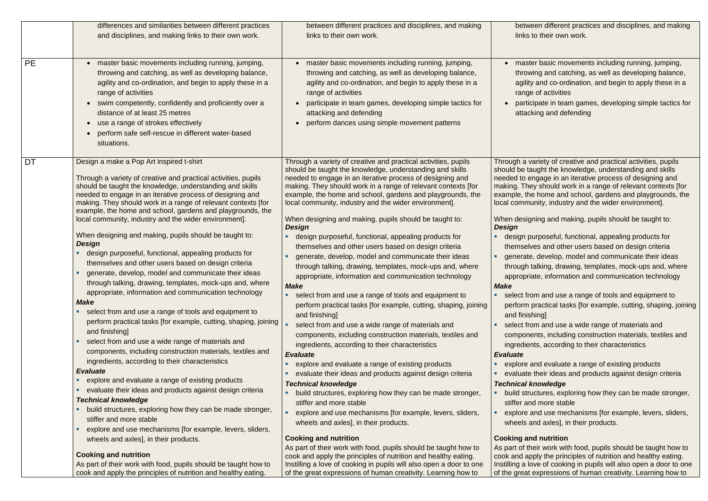|           | differences and similarities between different practices                                                                                                                                                                                                                                                                                                                                                                                                                                                                                                                                                                                                                                                                                                                                                                                                                                                                                                                                                                                                                                                                                                                                                                                                                                                                                                                                                                                                                                                                                                             | between different practices and disciplines, and making                                                                                                                                                                                                                                                                                                                                                                                                                                                                                                                                                                                                                                                                                                                                                                                                                                                                                                                                                                                                                                                                                                                                                                                                                                                                                                                                                                                                                                                                                                                                                                    | betwe                                                                                                                                                                                                                                                                                                                                                                                                                                                                        |
|-----------|----------------------------------------------------------------------------------------------------------------------------------------------------------------------------------------------------------------------------------------------------------------------------------------------------------------------------------------------------------------------------------------------------------------------------------------------------------------------------------------------------------------------------------------------------------------------------------------------------------------------------------------------------------------------------------------------------------------------------------------------------------------------------------------------------------------------------------------------------------------------------------------------------------------------------------------------------------------------------------------------------------------------------------------------------------------------------------------------------------------------------------------------------------------------------------------------------------------------------------------------------------------------------------------------------------------------------------------------------------------------------------------------------------------------------------------------------------------------------------------------------------------------------------------------------------------------|----------------------------------------------------------------------------------------------------------------------------------------------------------------------------------------------------------------------------------------------------------------------------------------------------------------------------------------------------------------------------------------------------------------------------------------------------------------------------------------------------------------------------------------------------------------------------------------------------------------------------------------------------------------------------------------------------------------------------------------------------------------------------------------------------------------------------------------------------------------------------------------------------------------------------------------------------------------------------------------------------------------------------------------------------------------------------------------------------------------------------------------------------------------------------------------------------------------------------------------------------------------------------------------------------------------------------------------------------------------------------------------------------------------------------------------------------------------------------------------------------------------------------------------------------------------------------------------------------------------------------|------------------------------------------------------------------------------------------------------------------------------------------------------------------------------------------------------------------------------------------------------------------------------------------------------------------------------------------------------------------------------------------------------------------------------------------------------------------------------|
|           | and disciplines, and making links to their own work.                                                                                                                                                                                                                                                                                                                                                                                                                                                                                                                                                                                                                                                                                                                                                                                                                                                                                                                                                                                                                                                                                                                                                                                                                                                                                                                                                                                                                                                                                                                 | links to their own work.                                                                                                                                                                                                                                                                                                                                                                                                                                                                                                                                                                                                                                                                                                                                                                                                                                                                                                                                                                                                                                                                                                                                                                                                                                                                                                                                                                                                                                                                                                                                                                                                   | links t                                                                                                                                                                                                                                                                                                                                                                                                                                                                      |
| <b>PE</b> | master basic movements including running, jumping,<br>throwing and catching, as well as developing balance,<br>agility and co-ordination, and begin to apply these in a<br>range of activities<br>swim competently, confidently and proficiently over a<br>distance of at least 25 metres<br>use a range of strokes effectively<br>perform safe self-rescue in different water-based<br>situations.                                                                                                                                                                                                                                                                                                                                                                                                                                                                                                                                                                                                                                                                                                                                                                                                                                                                                                                                                                                                                                                                                                                                                                  | master basic movements including running, jumping,<br>throwing and catching, as well as developing balance,<br>agility and co-ordination, and begin to apply these in a<br>range of activities<br>participate in team games, developing simple tactics for<br>attacking and defending<br>perform dances using simple movement patterns                                                                                                                                                                                                                                                                                                                                                                                                                                                                                                                                                                                                                                                                                                                                                                                                                                                                                                                                                                                                                                                                                                                                                                                                                                                                                     | maste<br>throwi<br>agility<br>range<br>partici<br>attack                                                                                                                                                                                                                                                                                                                                                                                                                     |
| <b>DT</b> | Design a make a Pop Art inspired t-shirt<br>Through a variety of creative and practical activities, pupils<br>should be taught the knowledge, understanding and skills<br>needed to engage in an iterative process of designing and<br>making. They should work in a range of relevant contexts [for<br>example, the home and school, gardens and playgrounds, the<br>local community, industry and the wider environment].<br>When designing and making, pupils should be taught to:<br><b>Design</b><br>design purposeful, functional, appealing products for<br>themselves and other users based on design criteria<br>generate, develop, model and communicate their ideas<br>through talking, drawing, templates, mock-ups and, where<br>appropriate, information and communication technology<br><b>Make</b><br>select from and use a range of tools and equipment to<br>$\blacksquare$<br>perform practical tasks [for example, cutting, shaping, joining<br>and finishing]<br>select from and use a wide range of materials and<br>components, including construction materials, textiles and<br>ingredients, according to their characteristics<br><b>Evaluate</b><br>explore and evaluate a range of existing products<br>ш<br>evaluate their ideas and products against design criteria<br>ш<br><b>Technical knowledge</b><br>build structures, exploring how they can be made stronger,<br>stiffer and more stable<br>explore and use mechanisms [for example, levers, sliders,<br>wheels and axles], in their products.<br><b>Cooking and nutrition</b> | Through a variety of creative and practical activities, pupils<br>should be taught the knowledge, understanding and skills<br>needed to engage in an iterative process of designing and<br>making. They should work in a range of relevant contexts [for<br>example, the home and school, gardens and playgrounds, the<br>local community, industry and the wider environment].<br>When designing and making, pupils should be taught to:<br>Design<br>design purposeful, functional, appealing products for<br>themselves and other users based on design criteria<br>generate, develop, model and communicate their ideas<br>through talking, drawing, templates, mock-ups and, where<br>appropriate, information and communication technology<br><b>Make</b><br>select from and use a range of tools and equipment to<br>perform practical tasks [for example, cutting, shaping, joining<br>and finishing]<br>select from and use a wide range of materials and<br>components, including construction materials, textiles and<br>ingredients, according to their characteristics<br><b>Evaluate</b><br>explore and evaluate a range of existing products<br>evaluate their ideas and products against design criteria<br><b>Technical knowledge</b><br>build structures, exploring how they can be made stronger,<br>stiffer and more stable<br>explore and use mechanisms [for example, levers, sliders,<br>wheels and axles], in their products.<br><b>Cooking and nutrition</b><br>As part of their work with food, pupils should be taught how to<br>cook and apply the principles of nutrition and healthy eating. | Through a va<br>should be tar<br>needed to er<br>making. They<br>example, the<br>local commu<br>When desigr<br><b>Design</b><br>design pu<br>themselv<br>generate,<br>through ta<br>appropria<br><b>Make</b><br>select fro<br>perform p<br>and finish<br>select fro<br>compone<br>ingredien<br><b>Evaluate</b><br>explore a<br>evaluate<br><b>Technical k</b><br>build stru<br>stiffer and<br>explore a<br>wheels ar<br><b>Cooking and</b><br>As part of the<br>cook and app |
|           | As part of their work with food, pupils should be taught how to                                                                                                                                                                                                                                                                                                                                                                                                                                                                                                                                                                                                                                                                                                                                                                                                                                                                                                                                                                                                                                                                                                                                                                                                                                                                                                                                                                                                                                                                                                      | Instilling a love of cooking in pupils will also open a door to one                                                                                                                                                                                                                                                                                                                                                                                                                                                                                                                                                                                                                                                                                                                                                                                                                                                                                                                                                                                                                                                                                                                                                                                                                                                                                                                                                                                                                                                                                                                                                        | Instilling a lo                                                                                                                                                                                                                                                                                                                                                                                                                                                              |
|           | cook and apply the principles of nutrition and healthy eating.                                                                                                                                                                                                                                                                                                                                                                                                                                                                                                                                                                                                                                                                                                                                                                                                                                                                                                                                                                                                                                                                                                                                                                                                                                                                                                                                                                                                                                                                                                       | of the great expressions of human creativity. Learning how to                                                                                                                                                                                                                                                                                                                                                                                                                                                                                                                                                                                                                                                                                                                                                                                                                                                                                                                                                                                                                                                                                                                                                                                                                                                                                                                                                                                                                                                                                                                                                              | of the great e                                                                                                                                                                                                                                                                                                                                                                                                                                                               |

ben different practices and disciplines, and making to their own work.

er basic movements including running, jumping, ing and catching, as well as developing balance, and co-ordination, and begin to apply these in a of activities

ipate in team games, developing simple tactics for king and defending

ariety of creative and practical activities, pupils ught the knowledge, understanding and skills ngage in an iterative process of designing and y should work in a range of relevant contexts [for  $h$  home and school, gardens and playgrounds, the inity, industry and the wider environment].

hing and making, pupils should be taught to:

urposeful, functional, appealing products for es and other users based on design criteria develop, model and communicate their ideas alking, drawing, templates, mock-ups and, where ate, information and communication technology

om and use a range of tools and equipment to practical tasks [for example, cutting, shaping, joining ing]

om and use a wide range of materials and ents, including construction materials, textiles and its, according to their characteristics

and evaluate a range of existing products their ideas and products against design criteria mowledge

ictures, exploring how they can be made stronger, d more stable

and use mechanisms [for example, levers, sliders, nd axles], in their products.

### **d** nutrition

eir work with food, pupils should be taught how to ply the principles of nutrition and healthy eating. ive of cooking in pupils will also open a door to one expressions of human creativity. Learning how to